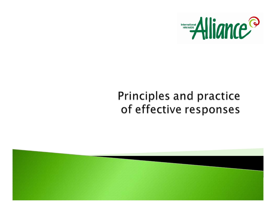

#### Principles and practice of effective responses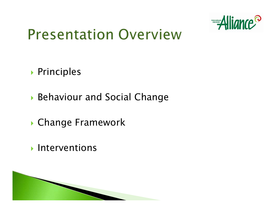

#### **Presentation Overview**

- **Principles**
- **Behaviour and Social Change**
- **Change Framework**
- **Interventions**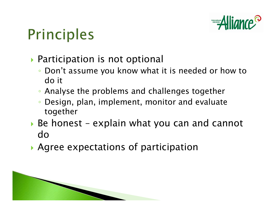

## **Principles**

- **Participation is not optional** 
	- Don't assume you know what it is needed or how to do it
	- Analyse the problems and challenges together
	- $\bullet$  Design, plan, implement, monitor and evaluate together
- $\triangleright$  Be honest explain what you can and cannot do
- **Agree expectations of participation**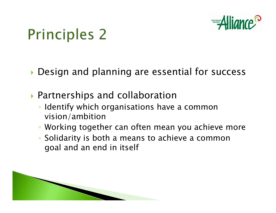

## **Principles 2**

**Design and planning are essential for success** 

- ` Partnerships and collaboration
	- Identify which organisations have a common vision/ambition
	- Working together can often mean you achieve more
	- Solidarity is both a means to achieve a common goal and an end in itself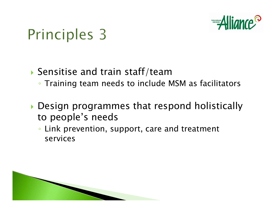

## Principles 3

- $\blacktriangleright$  Sensitise and train staff/team
	- Training team needs to include MSM as facilitators
- $\blacktriangleright$  Design programmes that respond holistically to people's needs
	- Link prevention, support, care and treatment services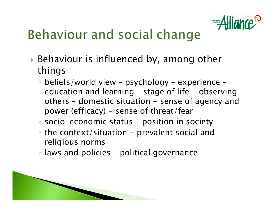

#### **Behaviour and social change**

- $\blacktriangleright$  Behaviour is influenced by, among other things
	- beliefs/world view psychology experience education and learning - stage of life - observing others – domestic situation – sense of agency and power (efficacy) - sense of threat/fear
	- socio-economic status position in society
	- the context/situation prevalent social and religious norms
	- laws and policies political governance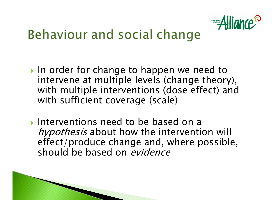

#### Behaviour and social change

- In order for change to happen we need to intervene at multiple levels (change theory), with multiple interventions (dose effect) and with sufficient coverage (scale)
- Interventions need to be based on a hypothesis about how the intervention will effect/produce change and, where possible, should be based on evidence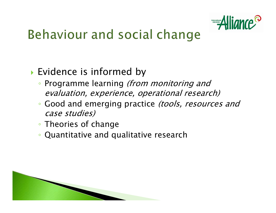

#### **Behaviour and social change**

#### **Evidence is informed by**

- Programme learning (from monitoring and evaluation, experience, operational research)
- Good and emerging practice (tools, resources and case studies)
- Theories of change
- Quantitative and qualitative research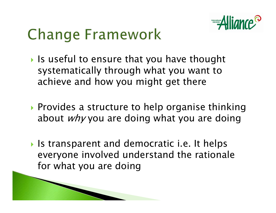

## **Change Framework**

- $\blacktriangleright$  Is useful to ensure that you have thought systematically through what you want to achieve and how you might get there
- **Provides a structure to help organise thinking** about  $why$  you are doing what you are doing
- **I** Is transparent and democratic i.e. It helps everyone involved understand the rationale for what you are doing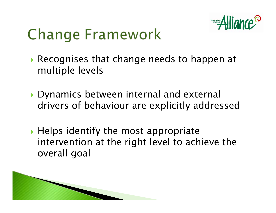

## **Change Framework**

- $\blacktriangleright$  Recognises that change needs to happen at multiple levels
- ` Dynamics between internal and external drivers of behaviour are explicitly addressed
- $\blacktriangleright$  Helps identify the most appropriate intervention at the right level to achieve the overall goal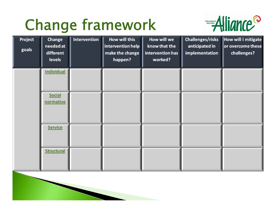## Change framework



| Project<br>goals | <b>Change</b><br>needed at<br>different<br><b>levels</b> | Intervention | How will this<br>intervention help<br>make the change<br>happen? | How will we<br>know that the<br>intervention has<br>worked? | Challenges/risks<br>anticipated in<br>implementation | <b>How will I mitigate</b><br>or overcome these<br>challenges? |
|------------------|----------------------------------------------------------|--------------|------------------------------------------------------------------|-------------------------------------------------------------|------------------------------------------------------|----------------------------------------------------------------|
|                  | <b>Individual</b>                                        |              |                                                                  |                                                             |                                                      |                                                                |
|                  | <b>Social</b><br>normative                               |              |                                                                  |                                                             |                                                      |                                                                |
|                  | <b>Service</b>                                           |              |                                                                  |                                                             |                                                      |                                                                |
|                  | <b>Structural</b>                                        |              |                                                                  |                                                             |                                                      |                                                                |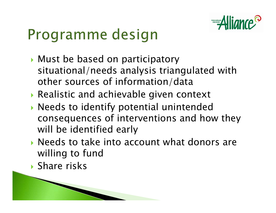

## Programme design

- **Must be based on participatory** situational/needs analysis triangulated with other sources of information/data
- ` Realistic and achievable given context
- **Needs to identify potential unintended** consequences of interventions and how they will be identified early
- $\blacktriangleright$  Needs to take into account what donors are willing to fund
- **Share risks**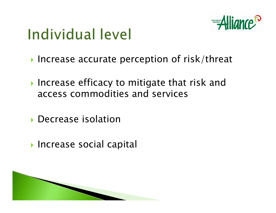

## Individual level

- $\blacktriangleright$  Increase accurate perception of risk/threat
- $\blacktriangleright$  Increase efficacy to mitigate that risk and access commodities and services
- **Decrease isolation**
- **Increase social capital**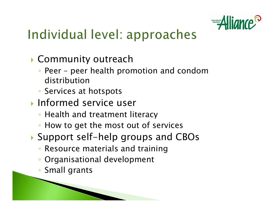

#### Individual level: approaches

- **Community outreach** 
	- Peer peer health promotion and condom distribution
	- Services at hotspots
- **Informed service user** 
	- Health and treatment literacy
	- How to get the most out of services
- ▶ Support self-help groups and CBOs
	- Resource materials and training
	- Organisational development
	- Small grants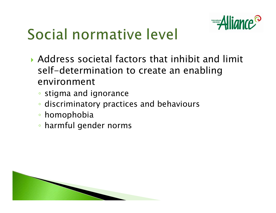

## Social normative level

- $\triangleright$  Address societal factors that inhibit and limit self-determination to create an enabling environment
	- stigma and ignorance
	- discriminatory practices and behaviours
	- homophobia
	- harmful gender norms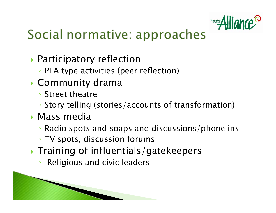

#### Social normative: approaches

- **Participatory reflection** 
	- PLA type activities (peer reflection)
- $\blacktriangleright$  Community drama
	- Street theatre
	- Story telling (stories/accounts of transformation)
- **Mass media** 
	- Radio spots and soaps and discussions/phone ins
	- TV spots, discussion forums
- **Training of influentials/gatekeepers** 
	- $\bullet$ Religious and civic leaders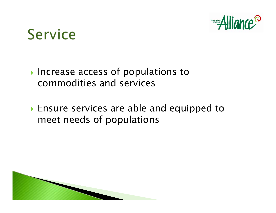



- Increase access of populations to commodities and services
- **Ensure services are able and equipped to** meet needs of populations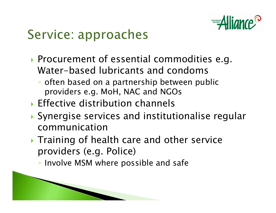

#### Service: approaches

- **Procurement of essential commodities e.g.** Water-based lubricants and condoms
	- often based on a partnership between public providers e.g. MoH, NAC and NGOs
- $\triangleright$  Effective distribution channels
- $\blacktriangleright$  Synergise services and institutionalise regular communication
- $\blacktriangleright$  Training of health care and other service providers (e.g. Police)
	- Involve MSM where possible and safe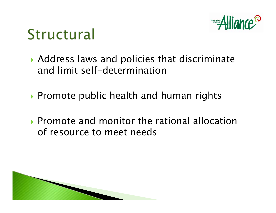

### Structural

- $\blacktriangleright$  Address laws and policies that discriminate and limit self-determination
- ▶ Promote public health and human rights
- $\blacktriangleright$  Promote and monitor the rational allocation of resource to meet needs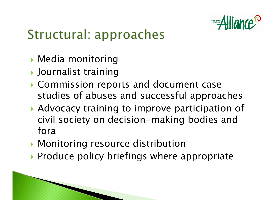

#### Structural: approaches

- **Media monitoring**
- **D** Journalist training
- **Commission reports and document case** studies of abuses and successful approaches
- ▶ Advocacy training to improve participation of civil society on decision-making bodies and fora
- **Monitoring resource distribution**
- $\triangleright$  Produce policy briefings where appropriate